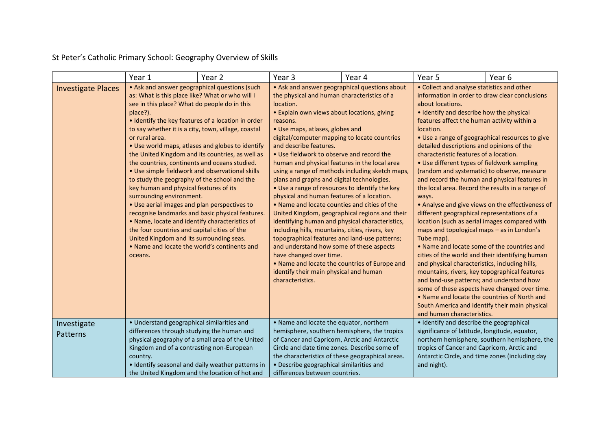St Peter's Catholic Primary School: Geography Overview of Skills

|                           | Year 1                                                                                                                                                                                                                                                                                                                                                                                                                                                                                                                                                                                                                                                                                                                                                                                                                                                                                                                                                                                   | Year 2 | Year 3                                                                                                                                                                                                                                                                                                                                                                                                                                                                                                                                                                                                                                                                                                                                                                                                                                                                                                                                                                                                                          | Year 4 | Year 5                                                                                                                                                                                                                                                                                                                                                                                                                                                                                                                                                                                                                                                                                                                                                                                                                                                                                                                                                                                                                                                                                                                                                                                              | Year <sub>6</sub>                             |
|---------------------------|------------------------------------------------------------------------------------------------------------------------------------------------------------------------------------------------------------------------------------------------------------------------------------------------------------------------------------------------------------------------------------------------------------------------------------------------------------------------------------------------------------------------------------------------------------------------------------------------------------------------------------------------------------------------------------------------------------------------------------------------------------------------------------------------------------------------------------------------------------------------------------------------------------------------------------------------------------------------------------------|--------|---------------------------------------------------------------------------------------------------------------------------------------------------------------------------------------------------------------------------------------------------------------------------------------------------------------------------------------------------------------------------------------------------------------------------------------------------------------------------------------------------------------------------------------------------------------------------------------------------------------------------------------------------------------------------------------------------------------------------------------------------------------------------------------------------------------------------------------------------------------------------------------------------------------------------------------------------------------------------------------------------------------------------------|--------|-----------------------------------------------------------------------------------------------------------------------------------------------------------------------------------------------------------------------------------------------------------------------------------------------------------------------------------------------------------------------------------------------------------------------------------------------------------------------------------------------------------------------------------------------------------------------------------------------------------------------------------------------------------------------------------------------------------------------------------------------------------------------------------------------------------------------------------------------------------------------------------------------------------------------------------------------------------------------------------------------------------------------------------------------------------------------------------------------------------------------------------------------------------------------------------------------------|-----------------------------------------------|
| <b>Investigate Places</b> | • Ask and answer geographical questions (such<br>as: What is this place like? What or who will I<br>see in this place? What do people do in this<br>place?).<br>• Identify the key features of a location in order<br>to say whether it is a city, town, village, coastal<br>or rural area.<br>. Use world maps, atlases and globes to identify<br>the United Kingdom and its countries, as well as<br>the countries, continents and oceans studied.<br>. Use simple fieldwork and observational skills<br>to study the geography of the school and the<br>key human and physical features of its<br>surrounding environment.<br>• Use aerial images and plan perspectives to<br>recognise landmarks and basic physical features.<br>. Name, locate and identify characteristics of<br>the four countries and capital cities of the<br>United Kingdom and its surrounding seas.<br>. Name and locate the world's continents and<br>oceans.<br>• Understand geographical similarities and |        | • Ask and answer geographical questions about<br>the physical and human characteristics of a<br>location.<br>· Explain own views about locations, giving<br>reasons.<br>• Use maps, atlases, globes and<br>digital/computer mapping to locate countries<br>and describe features.<br>. Use fieldwork to observe and record the<br>human and physical features in the local area<br>using a range of methods including sketch maps,<br>plans and graphs and digital technologies.<br>• Use a range of resources to identify the key<br>physical and human features of a location.<br>. Name and locate counties and cities of the<br>United Kingdom, geographical regions and their<br>identifying human and physical characteristics,<br>including hills, mountains, cities, rivers, key<br>topographical features and land-use patterns;<br>and understand how some of these aspects<br>have changed over time.<br>• Name and locate the countries of Europe and<br>identify their main physical and human<br>characteristics. |        | • Collect and analyse statistics and other<br>information in order to draw clear conclusions<br>about locations.<br>• Identify and describe how the physical<br>features affect the human activity within a<br>location.<br>• Use a range of geographical resources to give<br>detailed descriptions and opinions of the<br>characteristic features of a location.<br>• Use different types of fieldwork sampling<br>(random and systematic) to observe, measure<br>and record the human and physical features in<br>the local area. Record the results in a range of<br>ways.<br>• Analyse and give views on the effectiveness of<br>different geographical representations of a<br>location (such as aerial images compared with<br>maps and topological maps - as in London's<br>Tube map).<br>• Name and locate some of the countries and<br>cities of the world and their identifying human<br>and physical characteristics, including hills,<br>mountains, rivers, key topographical features<br>and land-use patterns; and understand how<br>some of these aspects have changed over time.<br>. Name and locate the countries of North and<br>South America and identify their main physical |                                               |
| Investigate<br>Patterns   | differences through studying the human and<br>physical geography of a small area of the United<br>Kingdom and of a contrasting non-European<br>country.<br>· Identify seasonal and daily weather patterns in                                                                                                                                                                                                                                                                                                                                                                                                                                                                                                                                                                                                                                                                                                                                                                             |        | . Name and locate the equator, northern<br>hemisphere, southern hemisphere, the tropics<br>of Cancer and Capricorn, Arctic and Antarctic<br>Circle and date time zones. Describe some of<br>the characteristics of these geographical areas.<br>· Describe geographical similarities and                                                                                                                                                                                                                                                                                                                                                                                                                                                                                                                                                                                                                                                                                                                                        |        | • Identify and describe the geographical<br>significance of latitude, longitude, equator,<br>tropics of Cancer and Capricorn, Arctic and<br>Antarctic Circle, and time zones (including day<br>and night).                                                                                                                                                                                                                                                                                                                                                                                                                                                                                                                                                                                                                                                                                                                                                                                                                                                                                                                                                                                          | northern hemisphere, southern hemisphere, the |
|                           | the United Kingdom and the location of hot and                                                                                                                                                                                                                                                                                                                                                                                                                                                                                                                                                                                                                                                                                                                                                                                                                                                                                                                                           |        | differences between countries.                                                                                                                                                                                                                                                                                                                                                                                                                                                                                                                                                                                                                                                                                                                                                                                                                                                                                                                                                                                                  |        |                                                                                                                                                                                                                                                                                                                                                                                                                                                                                                                                                                                                                                                                                                                                                                                                                                                                                                                                                                                                                                                                                                                                                                                                     |                                               |